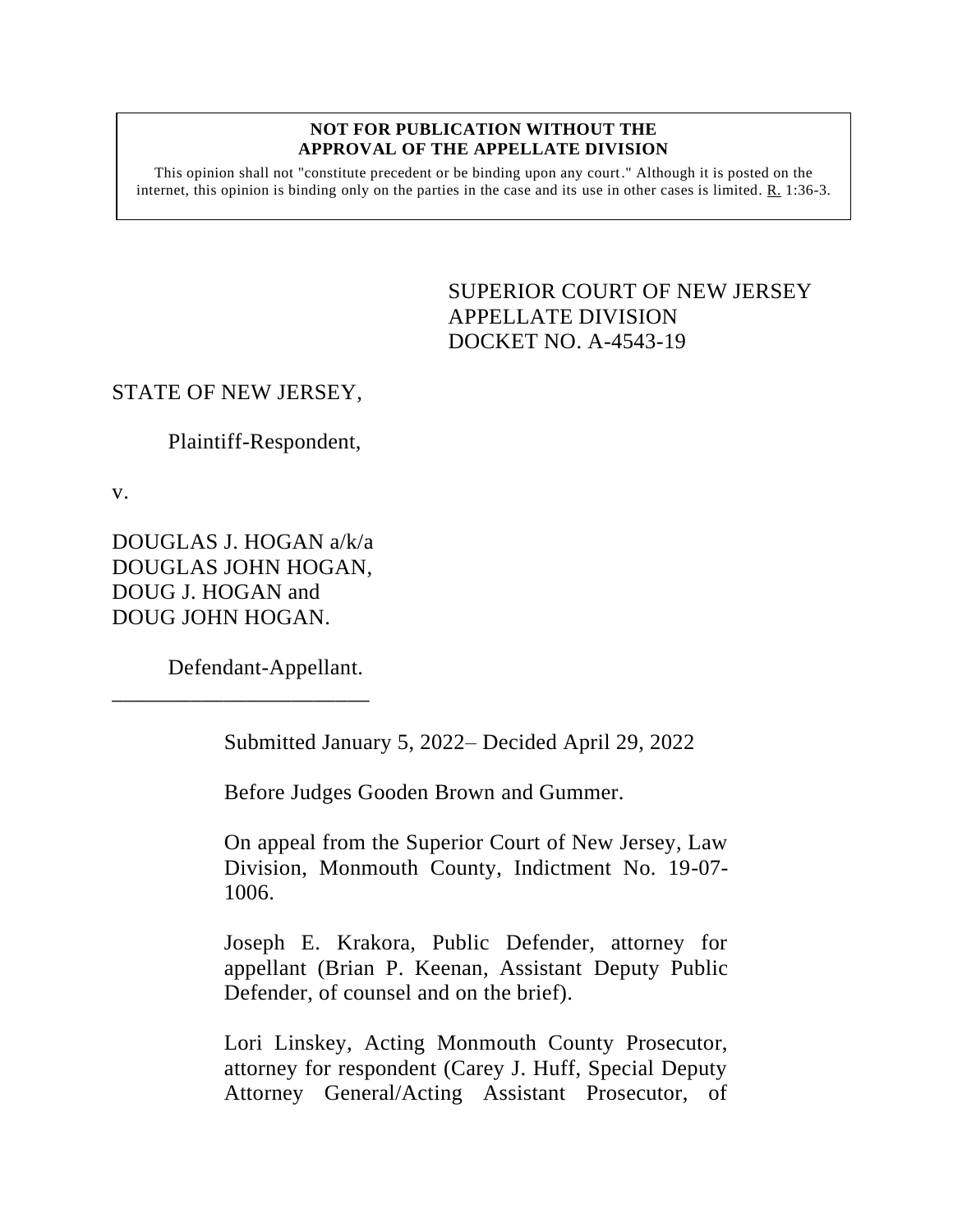#### **NOT FOR PUBLICATION WITHOUT THE APPROVAL OF THE APPELLATE DIVISION**

This opinion shall not "constitute precedent or be binding upon any court." Although it is posted on the internet, this opinion is binding only on the parties in the case and its use in other cases is limited. R. 1:36-3.

> <span id="page-0-0"></span>SUPERIOR COURT OF NEW JERSEY APPELLATE DIVISION DOCKET NO. A-4543-19

## STATE OF NEW JERSEY,

Plaintiff-Respondent,

v.

DOUGLAS J. HOGAN a/k/a DOUGLAS JOHN HOGAN, DOUG J. HOGAN and DOUG JOHN HOGAN.

\_\_\_\_\_\_\_\_\_\_\_\_\_\_\_\_\_\_\_\_\_\_\_

Defendant-Appellant.

Submitted January 5, 2022– Decided April 29, 2022

Before Judges Gooden Brown and Gummer.

On appeal from the Superior Court of New Jersey, Law Division, Monmouth County, Indictment No. 19-07- 1006.

Joseph E. Krakora, Public Defender, attorney for appellant (Brian P. Keenan, Assistant Deputy Public Defender, of counsel and on the brief).

Lori Linskey, Acting Monmouth County Prosecutor, attorney for respondent (Carey J. Huff, Special Deputy Attorney General/Acting Assistant Prosecutor, of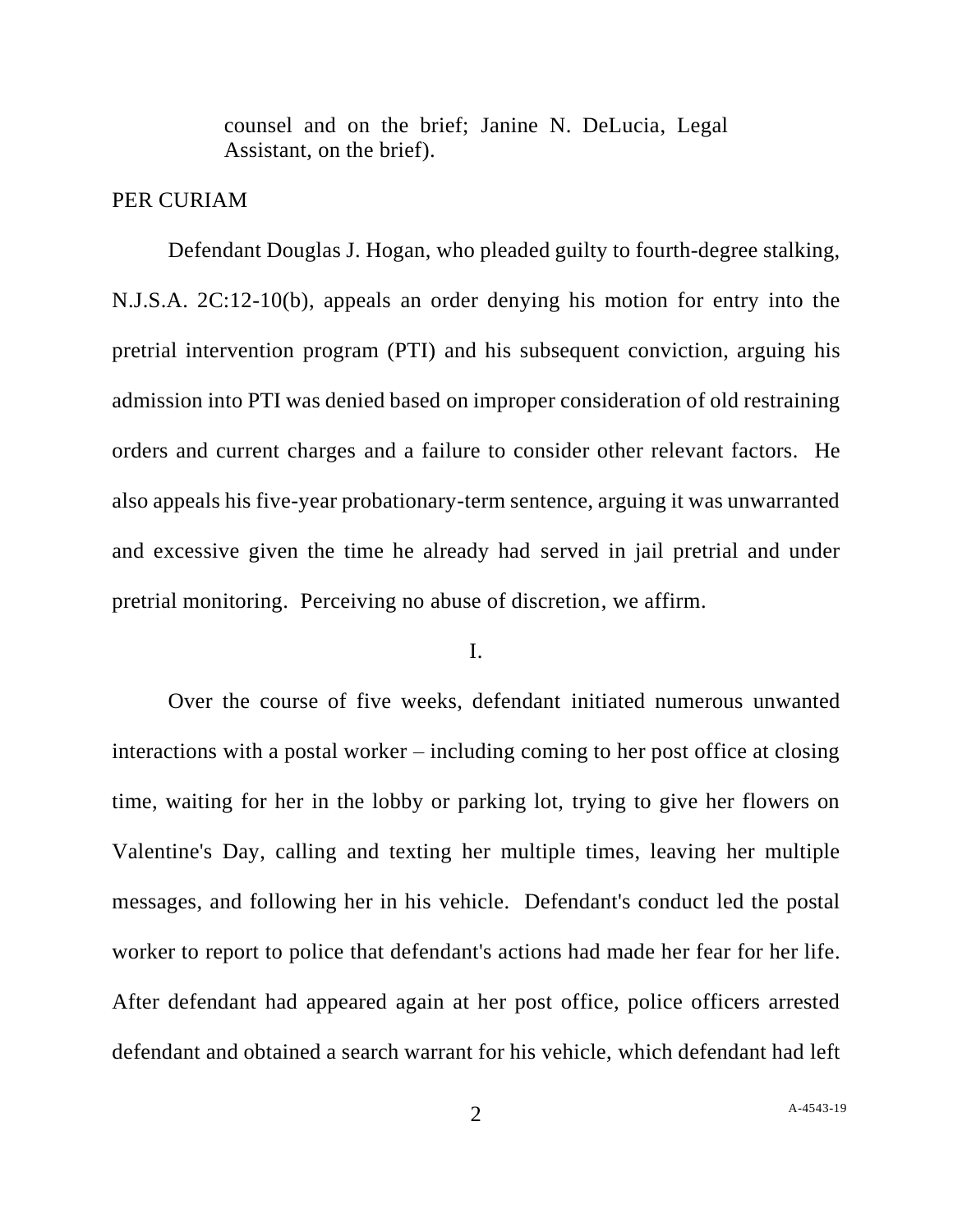counsel and on the brief; Janine N. DeLucia, Legal Assistant, on the brief).

### PER CURIAM

Defendant Douglas J. Hogan, who pleaded guilty to fourth-degree stalking, N.J.S.A. 2C:12-10(b), appeals an order denying his motion for entry into the pretrial intervention program (PTI) and his subsequent conviction, arguing his admission into PTI was denied based on improper consideration of old restraining orders and current charges and a failure to consider other relevant factors. He also appeals his five-year probationary-term sentence, arguing it was unwarranted and excessive given the time he already had served in jail pretrial and under pretrial monitoring. Perceiving no abuse of discretion, we affirm.

### I.

Over the course of five weeks, defendant initiated numerous unwanted interactions with a postal worker – including coming to her post office at closing time, waiting for her in the lobby or parking lot, trying to give her flowers on Valentine's Day, calling and texting her multiple times, leaving her multiple messages, and following her in his vehicle. Defendant's conduct led the postal worker to report to police that defendant's actions had made her fear for her life. After defendant had appeared again at her post office, police officers arrested defendant and obtained a search warrant for his vehicle, which defendant had left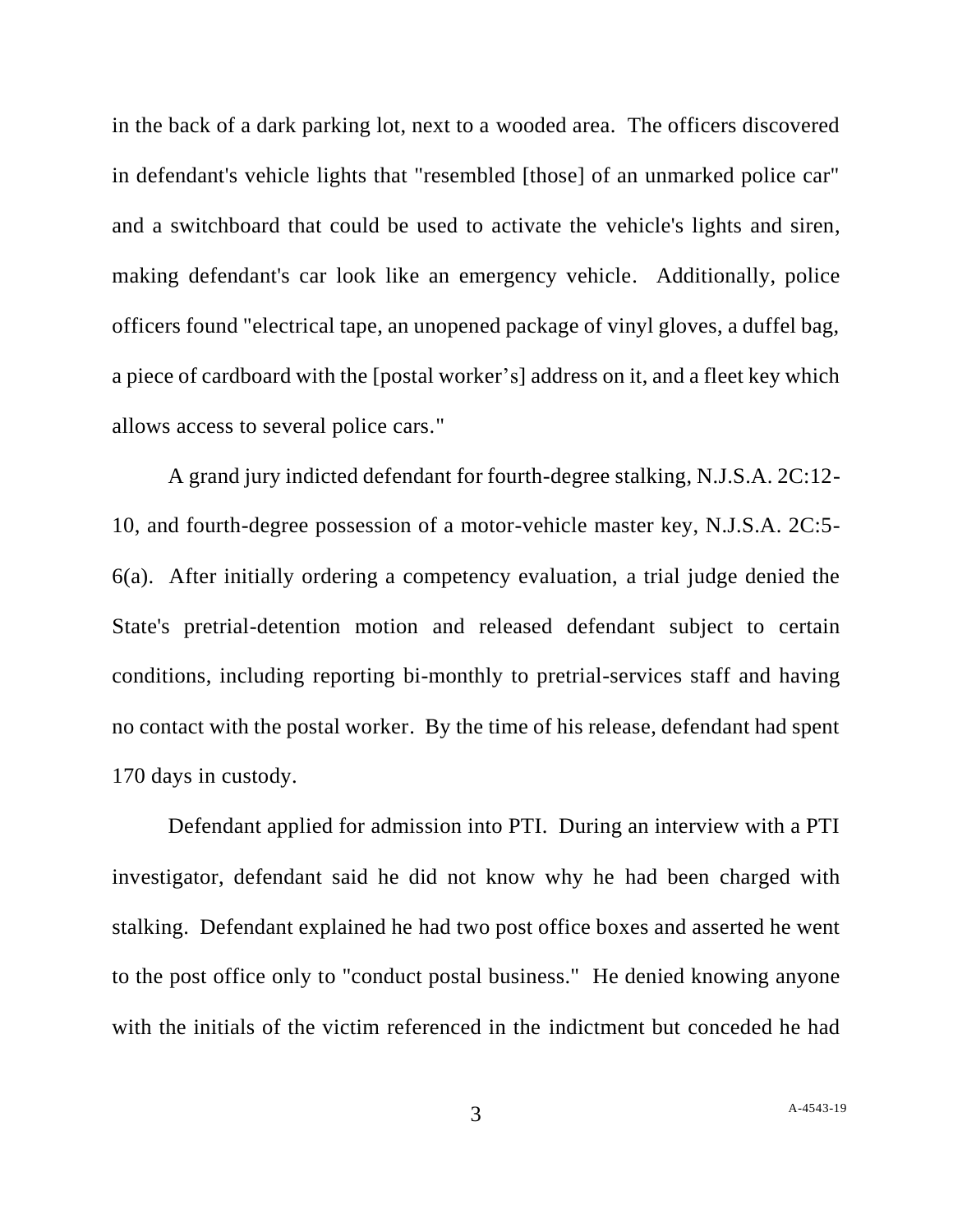in the back of a dark parking lot, next to a wooded area. The officers discovered in defendant's vehicle lights that "resembled [those] of an unmarked police car" and a switchboard that could be used to activate the vehicle's lights and siren, making defendant's car look like an emergency vehicle. Additionally, police officers found "electrical tape, an unopened package of vinyl gloves, a duffel bag, a piece of cardboard with the [postal worker's] address on it, and a fleet key which allows access to several police cars."

A grand jury indicted defendant for fourth-degree stalking, N.J.S.A. 2C:12- 10, and fourth-degree possession of a motor-vehicle master key, N.J.S.A. 2C:5- 6(a). After initially ordering a competency evaluation, a trial judge denied the State's pretrial-detention motion and released defendant subject to certain conditions, including reporting bi-monthly to pretrial-services staff and having no contact with the postal worker. By the time of his release, defendant had spent 170 days in custody.

Defendant applied for admission into PTI. During an interview with a PTI investigator, defendant said he did not know why he had been charged with stalking. Defendant explained he had two post office boxes and asserted he went to the post office only to "conduct postal business." He denied knowing anyone with the initials of the victim referenced in the indictment but conceded he had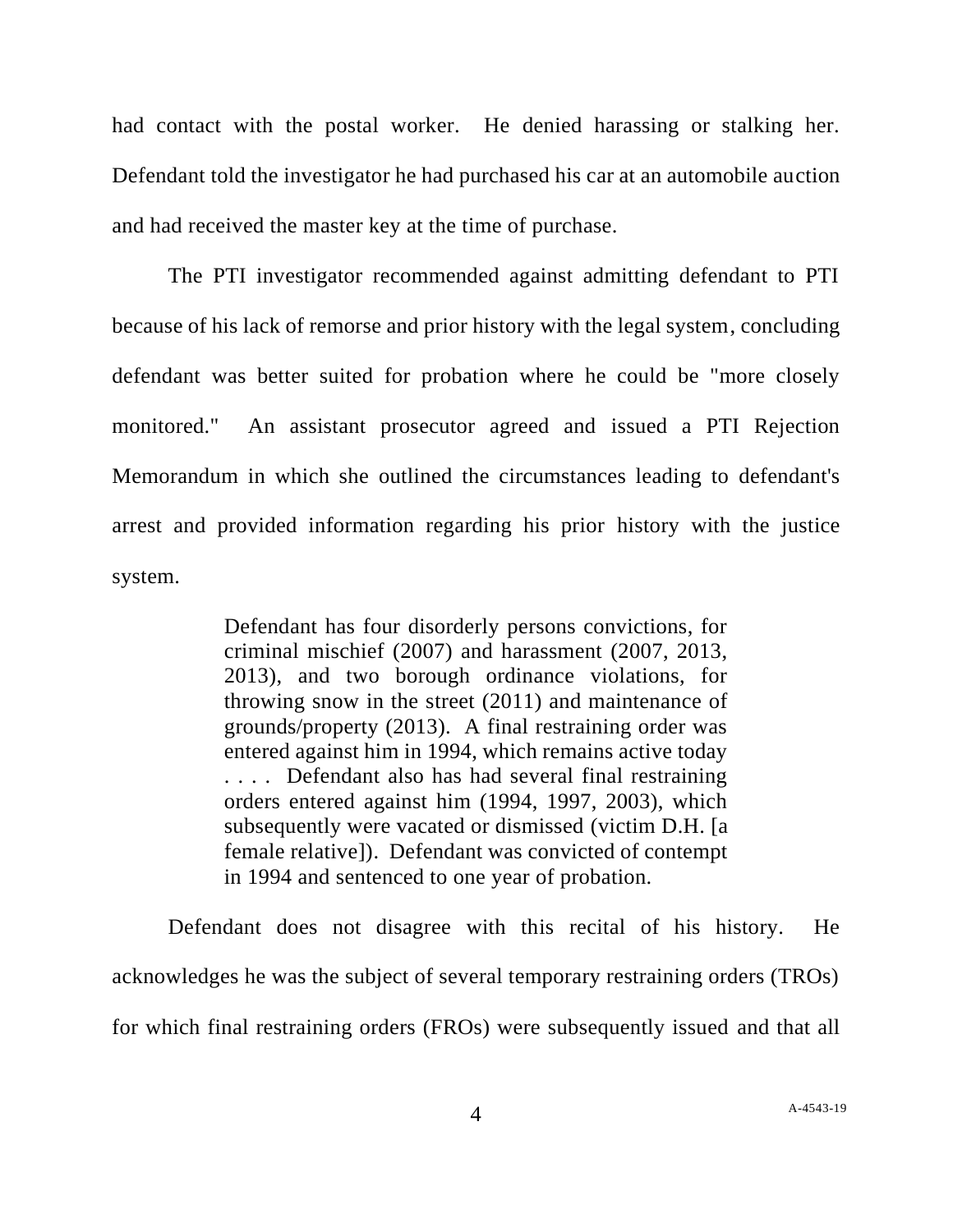had contact with the postal worker. He denied harassing or stalking her. Defendant told the investigator he had purchased his car at an automobile auction and had received the master key at the time of purchase.

The PTI investigator recommended against admitting defendant to PTI because of his lack of remorse and prior history with the legal system, concluding defendant was better suited for probation where he could be "more closely monitored." An assistant prosecutor agreed and issued a PTI Rejection Memorandum in which she outlined the circumstances leading to defendant's arrest and provided information regarding his prior history with the justice system.

> Defendant has four disorderly persons convictions, for criminal mischief (2007) and harassment (2007, 2013, 2013), and two borough ordinance violations, for throwing snow in the street (2011) and maintenance of grounds/property (2013). A final restraining order was entered against him in 1994, which remains active today . . . . Defendant also has had several final restraining orders entered against him (1994, 1997, 2003), which subsequently were vacated or dismissed (victim D.H. [a female relative]). Defendant was convicted of contempt in 1994 and sentenced to one year of probation.

Defendant does not disagree with this recital of his history. He acknowledges he was the subject of several temporary restraining orders (TROs) for which final restraining orders (FROs) were subsequently issued and that all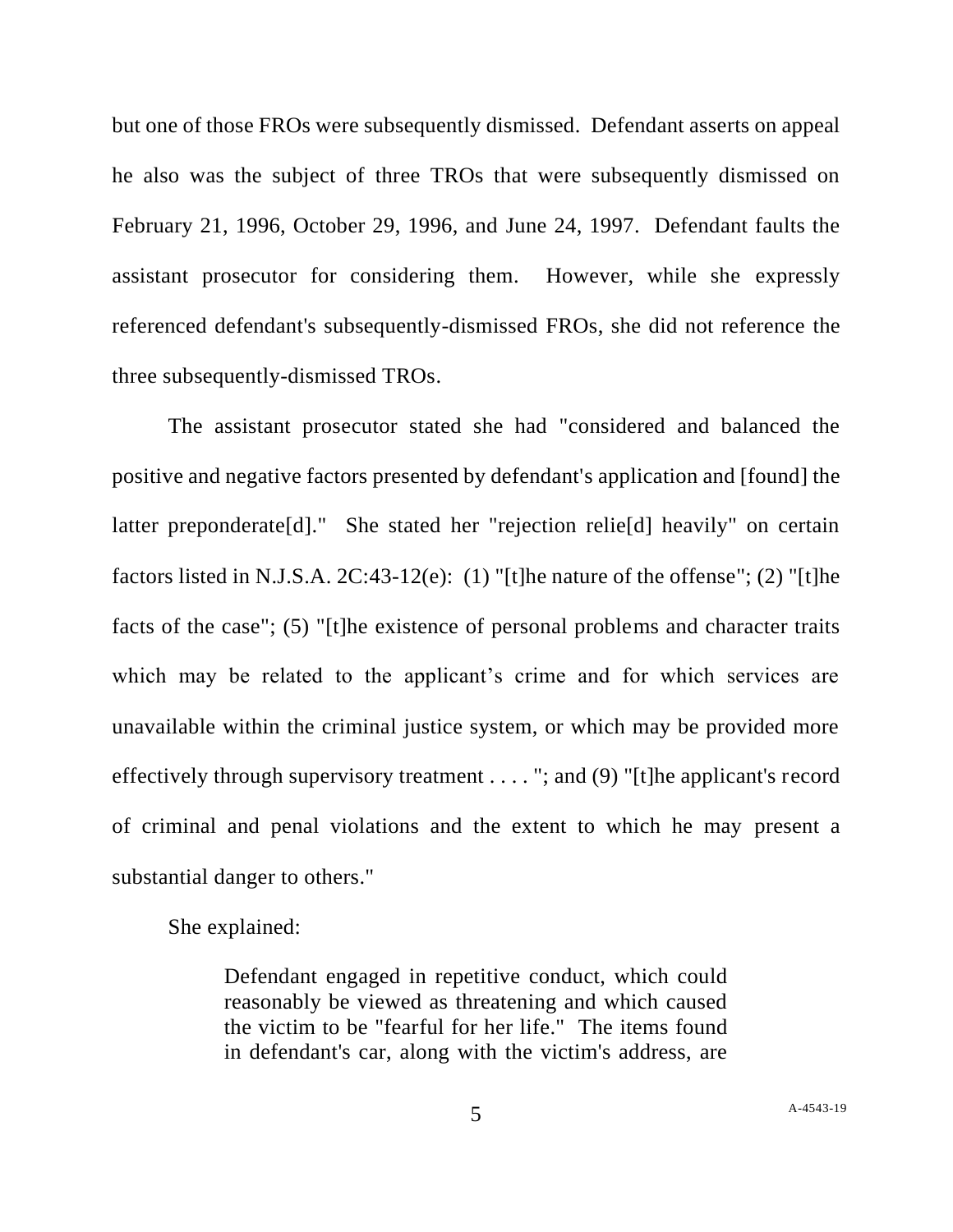but one of those FROs were subsequently dismissed. Defendant asserts on appeal he also was the subject of three TROs that were subsequently dismissed on February 21, 1996, October 29, 1996, and June 24, 1997. Defendant faults the assistant prosecutor for considering them. However, while she expressly referenced defendant's subsequently-dismissed FROs, she did not reference the three subsequently-dismissed TROs.

The assistant prosecutor stated she had "considered and balanced the positive and negative factors presented by defendant's application and [found] the latter preponderate[d]." She stated her "rejection relie[d] heavily" on certain factors listed in N.J.S.A. 2C:43-12(e): (1) "[t]he nature of the offense"; (2) "[t]he facts of the case"; (5) "[t]he existence of personal problems and character traits which may be related to the applicant's crime and for which services are unavailable within the criminal justice system, or which may be provided more effectively through supervisory treatment . . . . "; and (9) "[t]he applicant's record of criminal and penal violations and the extent to which he may present a substantial danger to others."

She explained:

Defendant engaged in repetitive conduct, which could reasonably be viewed as threatening and which caused the victim to be "fearful for her life." The items found in defendant's car, along with the victim's address, are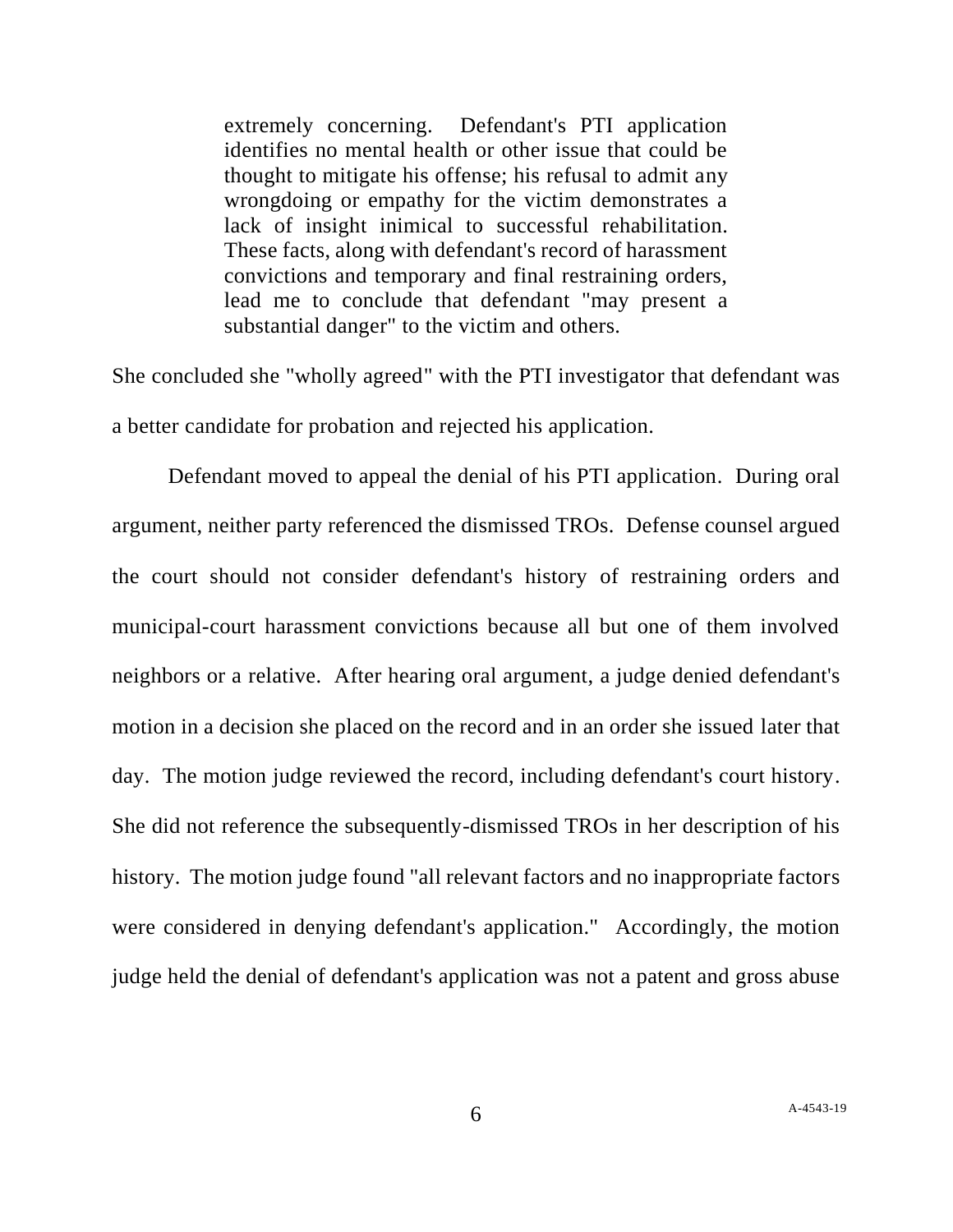extremely concerning. Defendant's PTI application identifies no mental health or other issue that could be thought to mitigate his offense; his refusal to admit any wrongdoing or empathy for the victim demonstrates a lack of insight inimical to successful rehabilitation. These facts, along with defendant's record of harassment convictions and temporary and final restraining orders, lead me to conclude that defendant "may present a substantial danger" to the victim and others.

She concluded she "wholly agreed" with the PTI investigator that defendant was a better candidate for probation and rejected his application.

Defendant moved to appeal the denial of his PTI application. During oral argument, neither party referenced the dismissed TROs. Defense counsel argued the court should not consider defendant's history of restraining orders and municipal-court harassment convictions because all but one of them involved neighbors or a relative. After hearing oral argument, a judge denied defendant's motion in a decision she placed on the record and in an order she issued later that day. The motion judge reviewed the record, including defendant's court history. She did not reference the subsequently-dismissed TROs in her description of his history. The motion judge found "all relevant factors and no inappropriate factors were considered in denying defendant's application." Accordingly, the motion judge held the denial of defendant's application was not a patent and gross abuse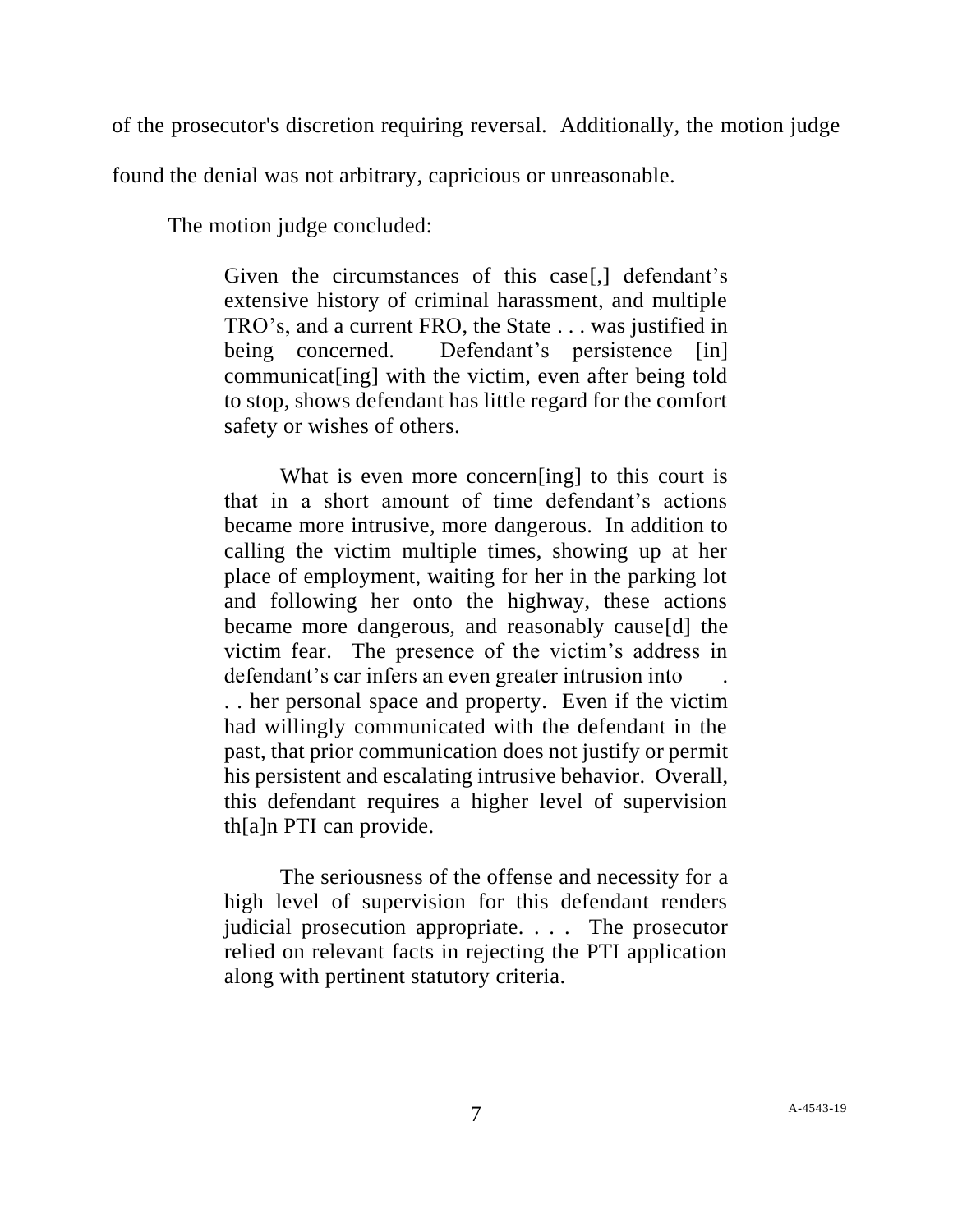of the prosecutor's discretion requiring reversal. Additionally, the motion judge

found the denial was not arbitrary, capricious or unreasonable.

The motion judge concluded:

Given the circumstances of this case[,] defendant's extensive history of criminal harassment, and multiple TRO's, and a current FRO, the State . . . was justified in being concerned. Defendant's persistence [in] communicat[ing] with the victim, even after being told to stop, shows defendant has little regard for the comfort safety or wishes of others.

What is even more concern[ing] to this court is that in a short amount of time defendant's actions became more intrusive, more dangerous. In addition to calling the victim multiple times, showing up at her place of employment, waiting for her in the parking lot and following her onto the highway, these actions became more dangerous, and reasonably cause[d] the victim fear. The presence of the victim's address in defendant's car infers an even greater intrusion into . . her personal space and property. Even if the victim had willingly communicated with the defendant in the past, that prior communication does not justify or permit his persistent and escalating intrusive behavior. Overall, this defendant requires a higher level of supervision th[a]n PTI can provide.

The seriousness of the offense and necessity for a high level of supervision for this defendant renders judicial prosecution appropriate. . . . The prosecutor relied on relevant facts in rejecting the PTI application along with pertinent statutory criteria.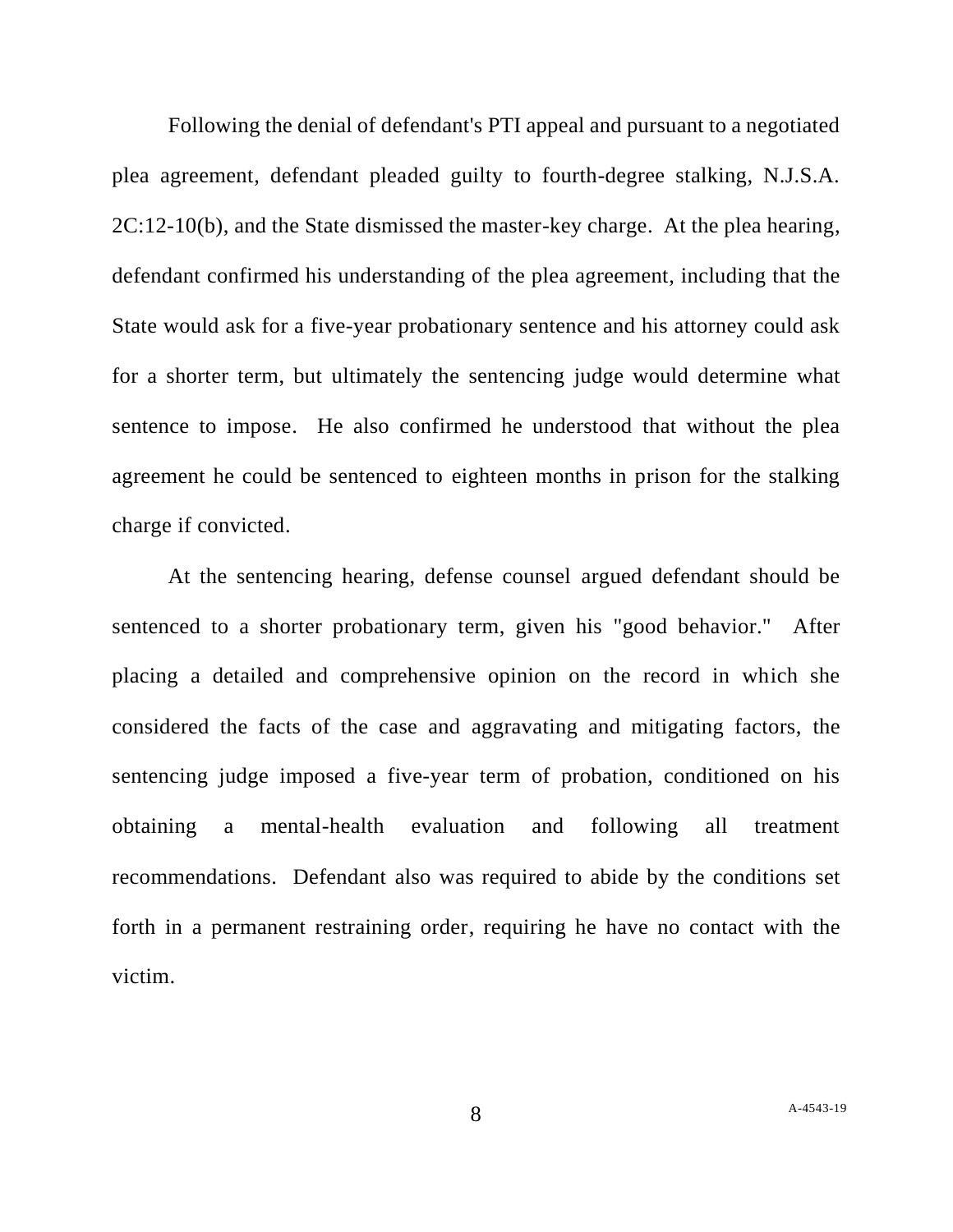Following the denial of defendant's PTI appeal and pursuant to a negotiated plea agreement, defendant pleaded guilty to fourth-degree stalking, N.J.S.A. 2C:12-10(b), and the State dismissed the master-key charge. At the plea hearing, defendant confirmed his understanding of the plea agreement, including that the State would ask for a five-year probationary sentence and his attorney could ask for a shorter term, but ultimately the sentencing judge would determine what sentence to impose. He also confirmed he understood that without the plea agreement he could be sentenced to eighteen months in prison for the stalking charge if convicted.

At the sentencing hearing, defense counsel argued defendant should be sentenced to a shorter probationary term, given his "good behavior." After placing a detailed and comprehensive opinion on the record in which she considered the facts of the case and aggravating and mitigating factors, the sentencing judge imposed a five-year term of probation, conditioned on his obtaining a mental-health evaluation and following all treatment recommendations. Defendant also was required to abide by the conditions set forth in a permanent restraining order, requiring he have no contact with the victim.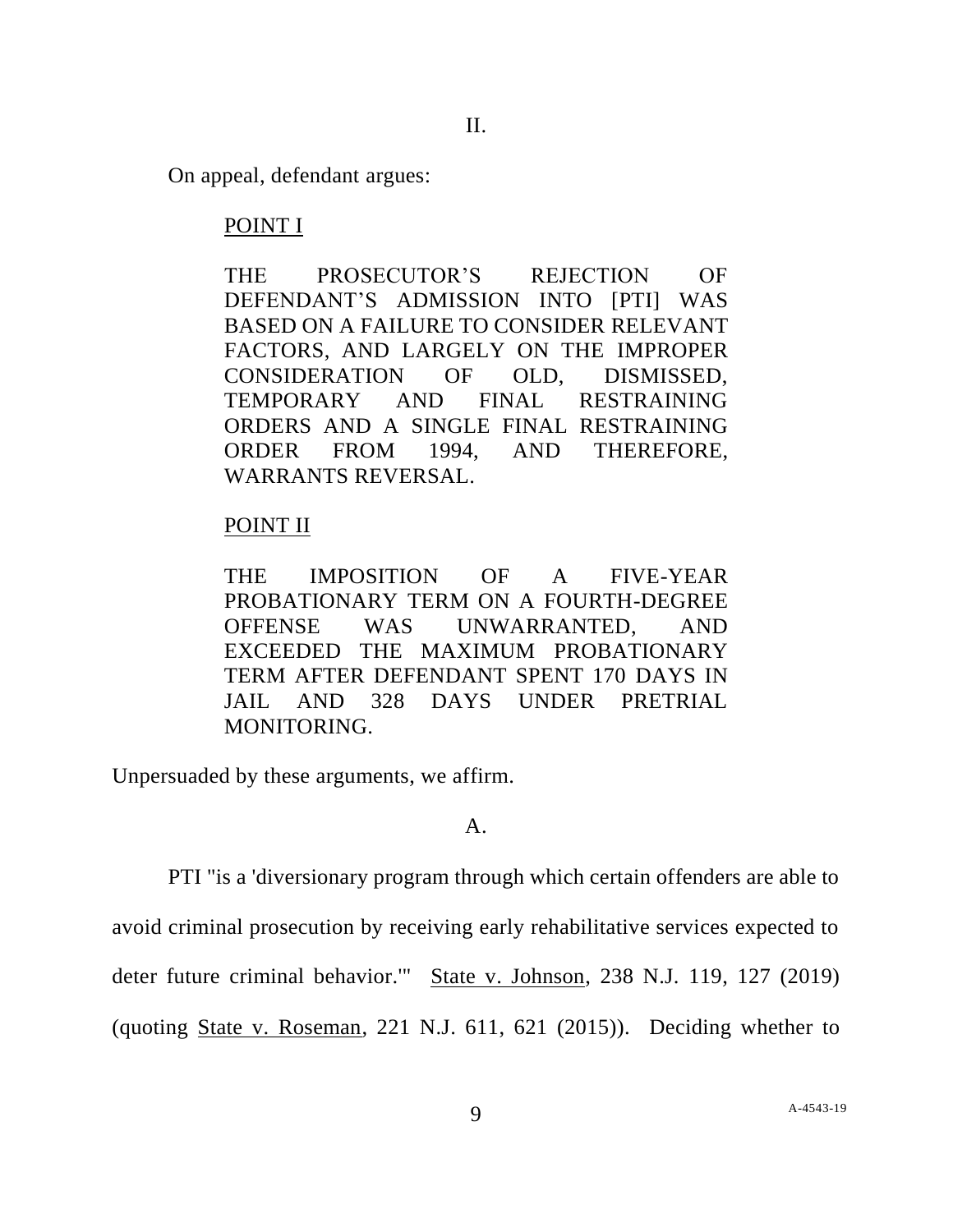On appeal, defendant argues:

# POINT I

THE PROSECUTOR'S REJECTION OF DEFENDANT'S ADMISSION INTO [PTI] WAS BASED ON A FAILURE TO CONSIDER RELEVANT FACTORS, AND LARGELY ON THE IMPROPER CONSIDERATION OF OLD, DISMISSED, TEMPORARY AND FINAL RESTRAINING ORDERS AND A SINGLE FINAL RESTRAINING ORDER FROM 1994, AND THEREFORE, WARRANTS REVERSAL.

# POINT II

THE IMPOSITION OF A FIVE-YEAR PROBATIONARY TERM ON A FOURTH-DEGREE OFFENSE WAS UNWARRANTED, AND EXCEEDED THE MAXIMUM PROBATIONARY TERM AFTER DEFENDANT SPENT 170 DAYS IN JAIL AND 328 DAYS UNDER PRETRIAL MONITORING.

Unpersuaded by these arguments, we affirm.

## A.

PTI "is a 'diversionary program through which certain offenders are able to

avoid criminal prosecution by receiving early rehabilitative services expected to

deter future criminal behavior." State v. Johnson, 238 N.J. 119, 127 (2019)

(quoting State v. Roseman, 221 N.J. 611, 621 (2015)). Deciding whether to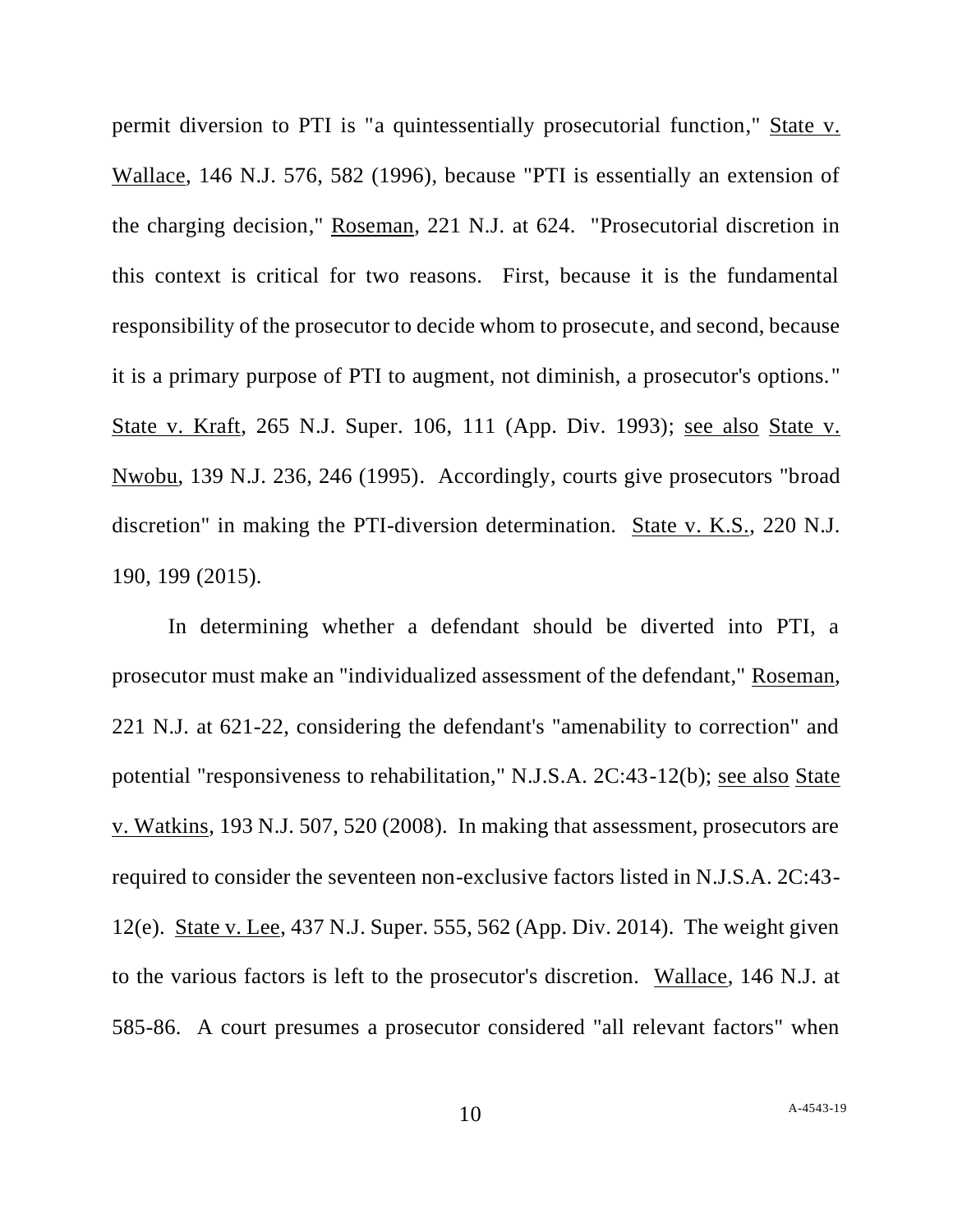permit diversion to PTI is "a quintessentially prosecutorial function," State v. Wallace, 146 N.J. 576, 582 (1996), because "PTI is essentially an extension of the charging decision," Roseman, 221 N.J. at 624. "Prosecutorial discretion in this context is critical for two reasons. First, because it is the fundamental responsibility of the prosecutor to decide whom to prosecute, and second, because it is a primary purpose of PTI to augment, not diminish, a prosecutor's options." State v. Kraft, 265 N.J. Super. 106, 111 (App. Div. 1993); see also State v. Nwobu, 139 N.J. 236, 246 (1995). Accordingly, courts give prosecutors "broad discretion" in making the PTI-diversion determination. State v. K.S., 220 N.J. 190, 199 (2015).

In determining whether a defendant should be diverted into PTI, a prosecutor must make an "individualized assessment of the defendant," Roseman, 221 N.J. at 621-22, considering the defendant's "amenability to correction" and potential "responsiveness to rehabilitation," N.J.S.A. 2C:43-12(b); see also State v. Watkins, 193 N.J. 507, 520 (2008). In making that assessment, prosecutors are required to consider the seventeen non-exclusive factors listed in N.J.S.A. 2C:43- 12(e). State v. Lee, 437 N.J. Super. 555, 562 (App. Div. 2014). The weight given to the various factors is left to the prosecutor's discretion. Wallace, 146 N.J. at 585-86. A court presumes a prosecutor considered "all relevant factors" when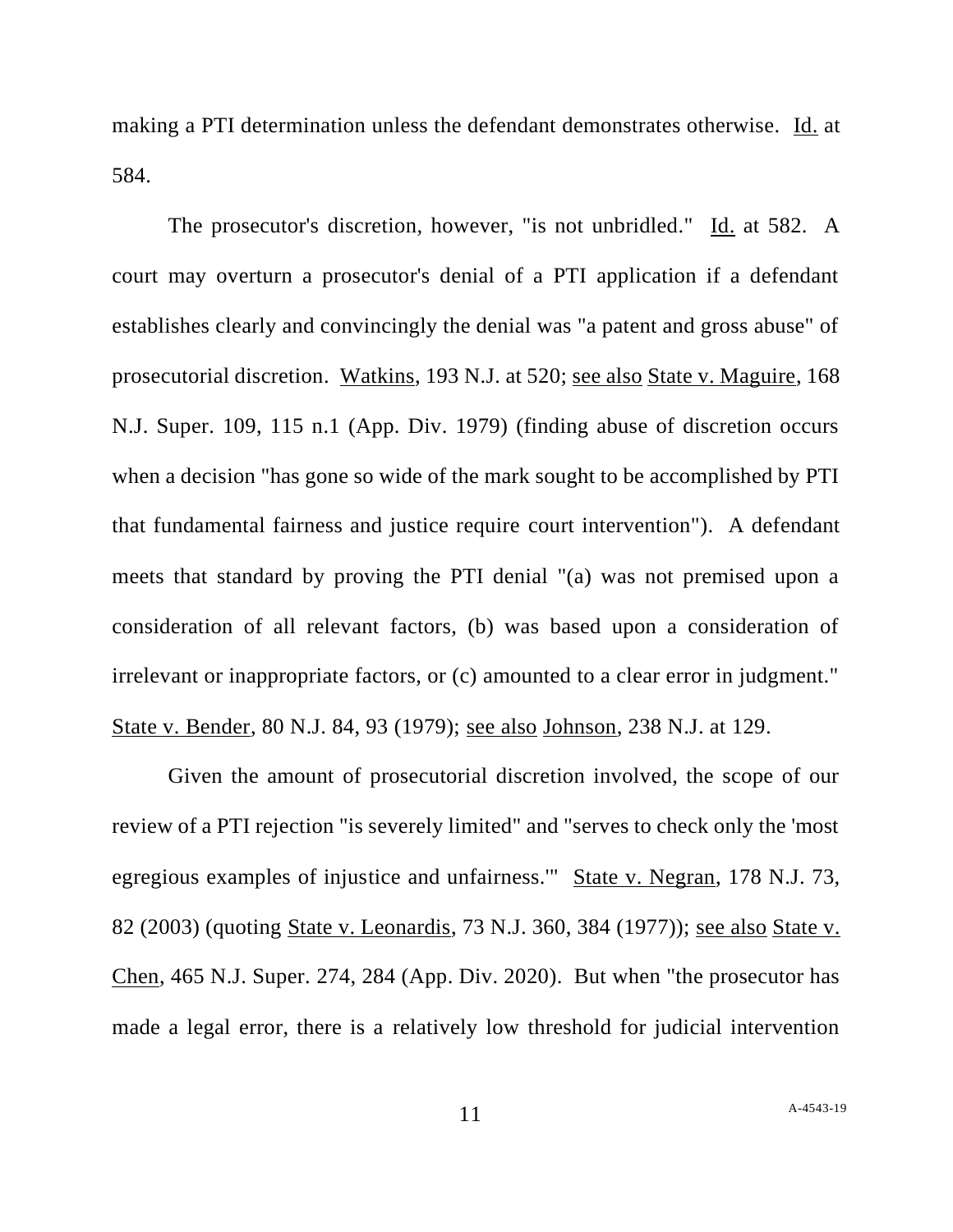making a PTI determination unless the defendant demonstrates otherwise. Id. at 584.

The prosecutor's discretion, however, "is not unbridled." Id. at 582. A court may overturn a prosecutor's denial of a PTI application if a defendant establishes clearly and convincingly the denial was "a patent and gross abuse" of prosecutorial discretion. Watkins, 193 N.J. at 520; see also State v. Maguire, 168 N.J. Super. 109, 115 n.1 (App. Div. 1979) (finding abuse of discretion occurs when a decision "has gone so wide of the mark sought to be accomplished by PTI that fundamental fairness and justice require court intervention"). A defendant meets that standard by proving the PTI denial "(a) was not premised upon a consideration of all relevant factors, (b) was based upon a consideration of irrelevant or inappropriate factors, or (c) amounted to a clear error in judgment." State v. Bender, 80 N.J. 84, 93 (1979); see also Johnson, 238 N.J. at 129.

Given the amount of prosecutorial discretion involved, the scope of our review of a PTI rejection "is severely limited" and "serves to check only the 'most egregious examples of injustice and unfairness.'" State v. Negran, 178 N.J. 73, 82 (2003) (quoting State v. Leonardis, 73 N.J. 360, 384 (1977)); see also State v. Chen, 465 N.J. Super. 274, 284 (App. Div. 2020). But when "the prosecutor has made a legal error, there is a relatively low threshold for judicial intervention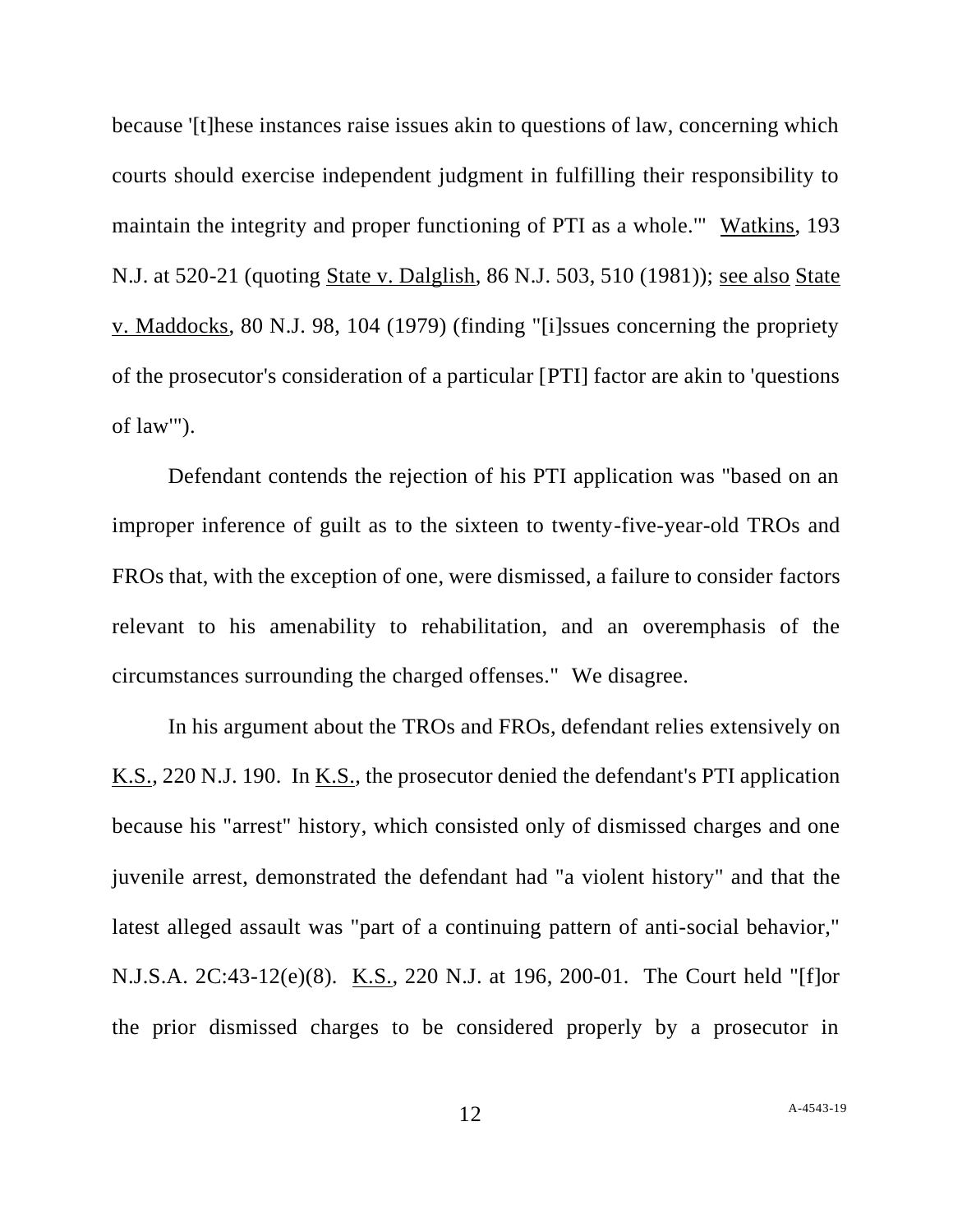because '[t]hese instances raise issues akin to questions of law, concerning which courts should exercise independent judgment in fulfilling their responsibility to maintain the integrity and proper functioning of PTI as a whole.'" Watkins, 193 N.J. at 520-21 (quoting State v. Dalglish, 86 N.J. 503, 510 (1981)); see also State v. Maddocks, 80 N.J. 98, 104 (1979) (finding "[i]ssues concerning the propriety of the prosecutor's consideration of a particular [PTI] factor are akin to 'questions of law'").

Defendant contends the rejection of his PTI application was "based on an improper inference of guilt as to the sixteen to twenty-five-year-old TROs and FROs that, with the exception of one, were dismissed, a failure to consider factors relevant to his amenability to rehabilitation, and an overemphasis of the circumstances surrounding the charged offenses." We disagree.

In his argument about the TROs and FROs, defendant relies extensively on K.S., 220 N.J. 190. In <u>K.S.</u>, the prosecutor denied the defendant's PTI application because his "arrest" history, which consisted only of dismissed charges and one juvenile arrest, demonstrated the defendant had "a violent history" and that the latest alleged assault was "part of a continuing pattern of anti-social behavior," N.J.S.A. 2C:43-12(e)(8). K.S., 220 N.J. at 196, 200-01. The Court held "[f]or the prior dismissed charges to be considered properly by a prosecutor in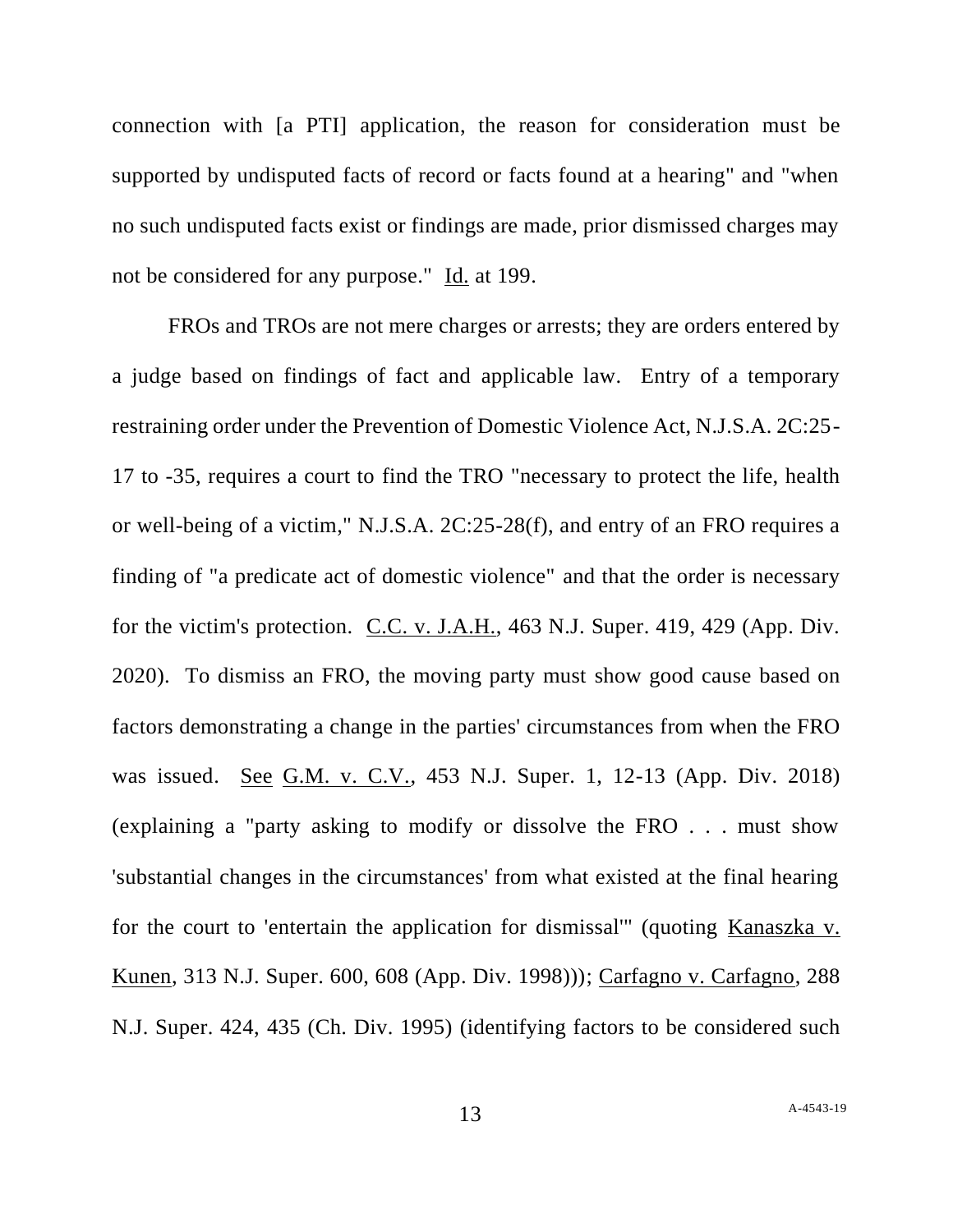connection with [a PTI] application, the reason for consideration must be supported by undisputed facts of record or facts found at a hearing" and "when no such undisputed facts exist or findings are made, prior dismissed charges may not be considered for any purpose." Id. at 199.

FROs and TROs are not mere charges or arrests; they are orders entered by a judge based on findings of fact and applicable law. Entry of a temporary restraining order under the Prevention of Domestic Violence Act, N.J.S.A. 2C:25- 17 to -35, requires a court to find the TRO "necessary to protect the life, health or well-being of a victim," N.J.S.A. 2C:25-28(f), and entry of an FRO requires a finding of "a predicate act of domestic violence" and that the order is necessary for the victim's protection. C.C. v. J.A.H., 463 N.J. Super. 419, 429 (App. Div. 2020). To dismiss an FRO, the moving party must show good cause based on factors demonstrating a change in the parties' circumstances from when the FRO was issued. See G.M. v. C.V., 453 N.J. Super. 1, 12-13 (App. Div. 2018) (explaining a "party asking to modify or dissolve the FRO . . . must show 'substantial changes in the circumstances' from what existed at the final hearing for the court to 'entertain the application for dismissal'" (quoting Kanaszka v. Kunen, 313 N.J. Super. 600, 608 (App. Div. 1998))); Carfagno v. Carfagno, 288 N.J. Super. 424, 435 (Ch. Div. 1995) (identifying factors to be considered such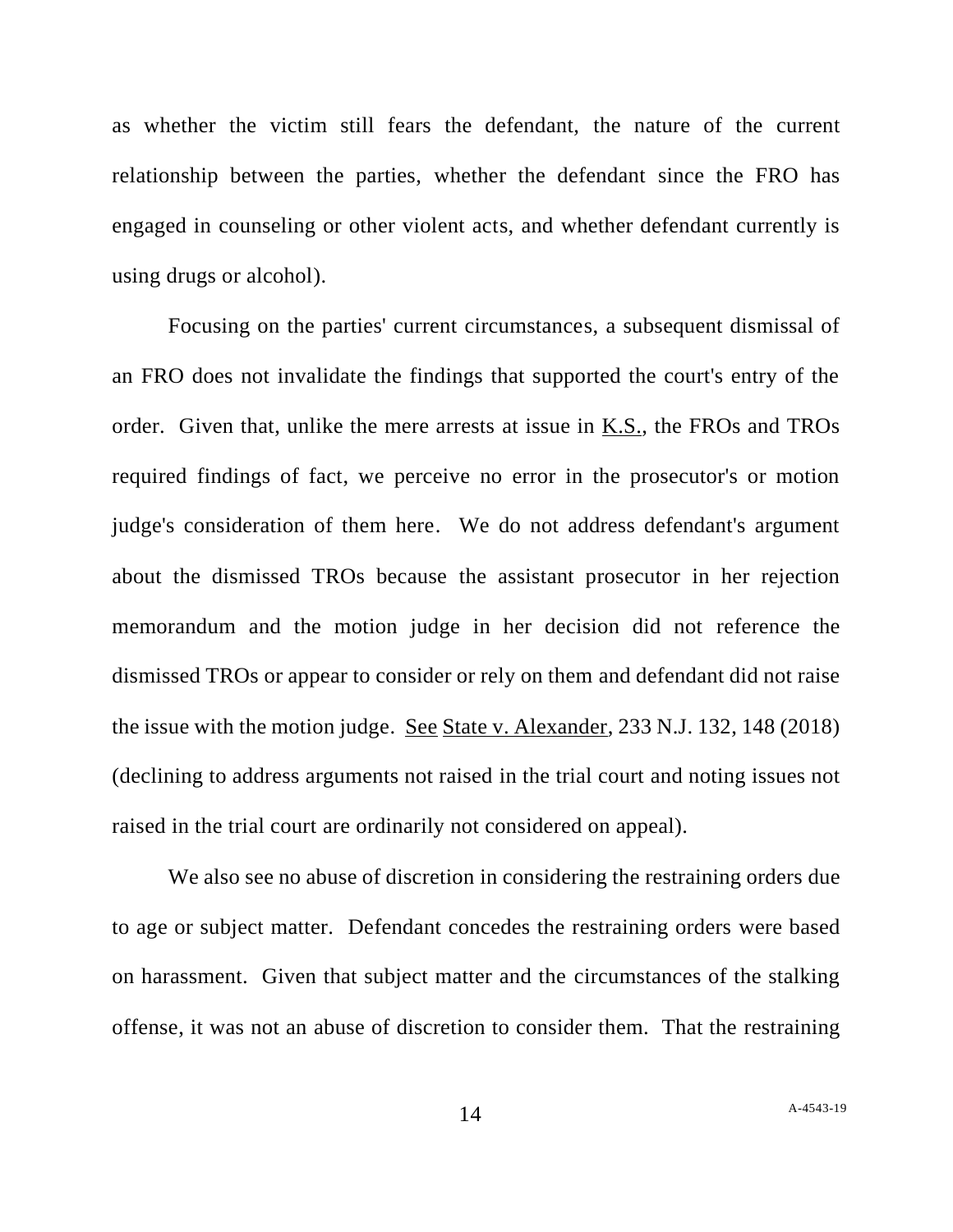as whether the victim still fears the defendant, the nature of the current relationship between the parties, whether the defendant since the FRO has engaged in counseling or other violent acts, and whether defendant currently is using drugs or alcohol).

Focusing on the parties' current circumstances, a subsequent dismissal of an FRO does not invalidate the findings that supported the court's entry of the order. Given that, unlike the mere arrests at issue in K.S., the FROs and TROs required findings of fact, we perceive no error in the prosecutor's or motion judge's consideration of them here. We do not address defendant's argument about the dismissed TROs because the assistant prosecutor in her rejection memorandum and the motion judge in her decision did not reference the dismissed TROs or appear to consider or rely on them and defendant did not raise the issue with the motion judge. See State v. Alexander, 233 N.J. 132, 148 (2018) (declining to address arguments not raised in the trial court and noting issues not raised in the trial court are ordinarily not considered on appeal).

We also see no abuse of discretion in considering the restraining orders due to age or subject matter. Defendant concedes the restraining orders were based on harassment. Given that subject matter and the circumstances of the stalking offense, it was not an abuse of discretion to consider them. That the restraining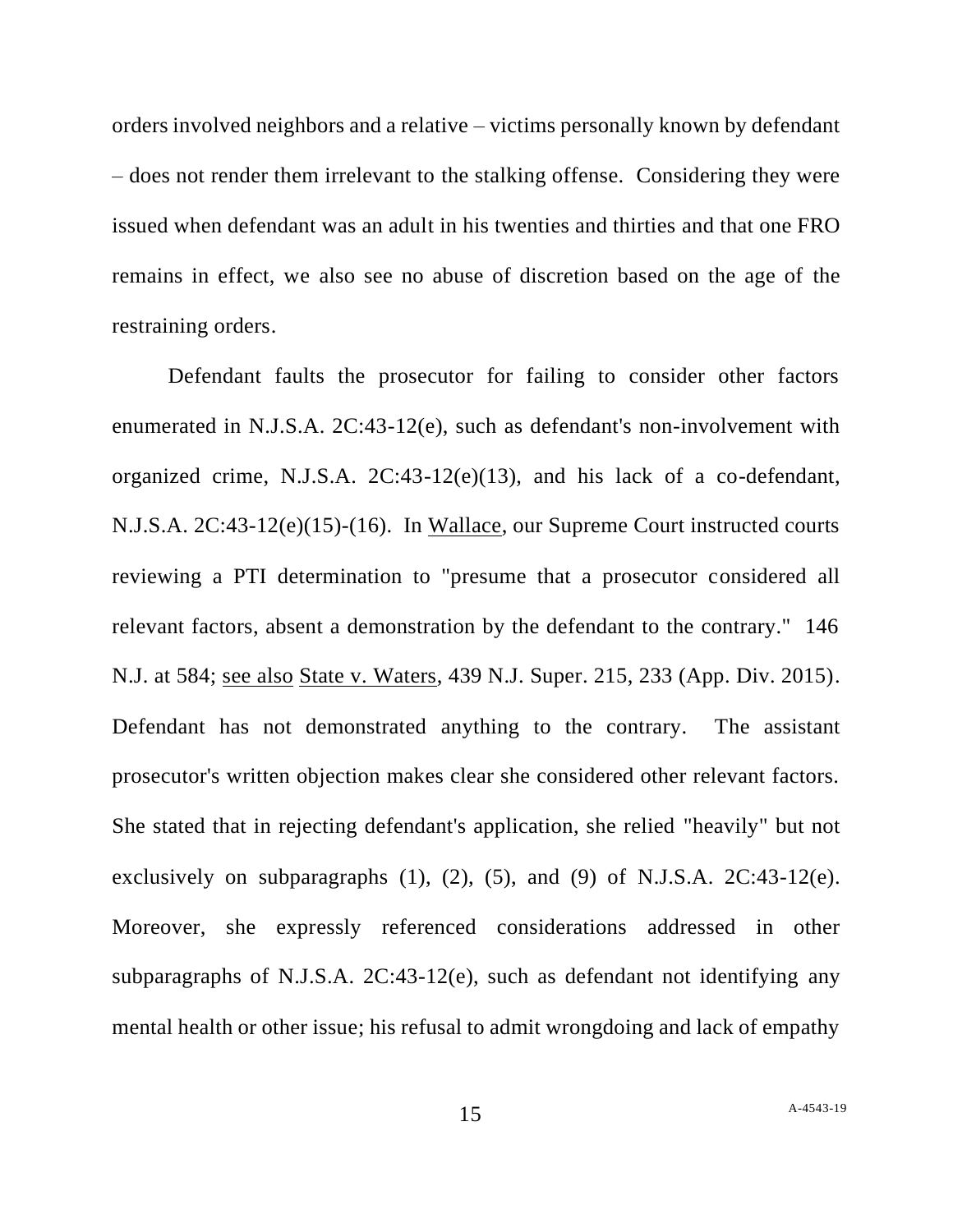orders involved neighbors and a relative – victims personally known by defendant – does not render them irrelevant to the stalking offense. Considering they were issued when defendant was an adult in his twenties and thirties and that one FRO remains in effect, we also see no abuse of discretion based on the age of the restraining orders.

Defendant faults the prosecutor for failing to consider other factors enumerated in N.J.S.A. 2C:43-12(e), such as defendant's non-involvement with organized crime, N.J.S.A. 2C:43-12(e)(13), and his lack of a co-defendant, N.J.S.A. 2C:43-12(e)(15)-(16). In Wallace, our Supreme Court instructed courts reviewing a PTI determination to "presume that a prosecutor considered all relevant factors, absent a demonstration by the defendant to the contrary." 146 N.J. at 584; see also State v. Waters, 439 N.J. Super. 215, 233 (App. Div. 2015). Defendant has not demonstrated anything to the contrary. The assistant prosecutor's written objection makes clear she considered other relevant factors. She stated that in rejecting defendant's application, she relied "heavily" but not exclusively on subparagraphs  $(1)$ ,  $(2)$ ,  $(5)$ , and  $(9)$  of N.J.S.A. 2C:43-12 $(e)$ . Moreover, she expressly referenced considerations addressed in other subparagraphs of N.J.S.A. 2C:43-12(e), such as defendant not identifying any mental health or other issue; his refusal to admit wrongdoing and lack of empathy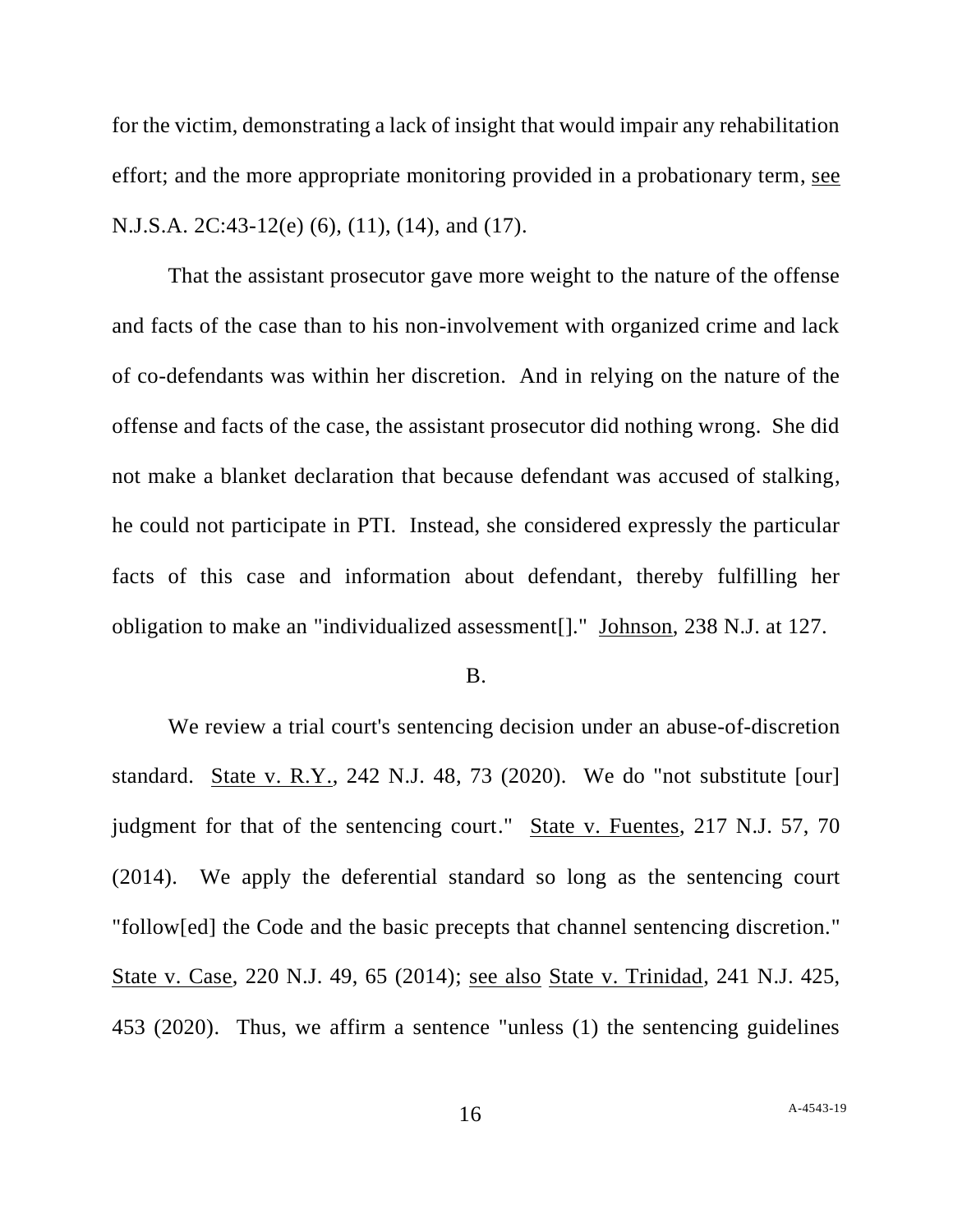for the victim, demonstrating a lack of insight that would impair any rehabilitation effort; and the more appropriate monitoring provided in a probationary term, see N.J.S.A. 2C:43-12(e) (6), (11), (14), and (17).

That the assistant prosecutor gave more weight to the nature of the offense and facts of the case than to his non-involvement with organized crime and lack of co-defendants was within her discretion. And in relying on the nature of the offense and facts of the case, the assistant prosecutor did nothing wrong. She did not make a blanket declaration that because defendant was accused of stalking, he could not participate in PTI. Instead, she considered expressly the particular facts of this case and information about defendant, thereby fulfilling her obligation to make an "individualized assessment[]." Johnson, 238 N.J. at 127.

### B.

We review a trial court's sentencing decision under an abuse-of-discretion standard. State v. R.Y., 242 N.J. 48, 73 (2020). We do "not substitute [our] judgment for that of the sentencing court." State v. Fuentes, 217 N.J. 57, 70 (2014). We apply the deferential standard so long as the sentencing court "follow[ed] the Code and the basic precepts that channel sentencing discretion." State v. Case, 220 N.J. 49, 65 (2014); see also State v. Trinidad, 241 N.J. 425, 453 (2020). Thus, we affirm a sentence "unless (1) the sentencing guidelines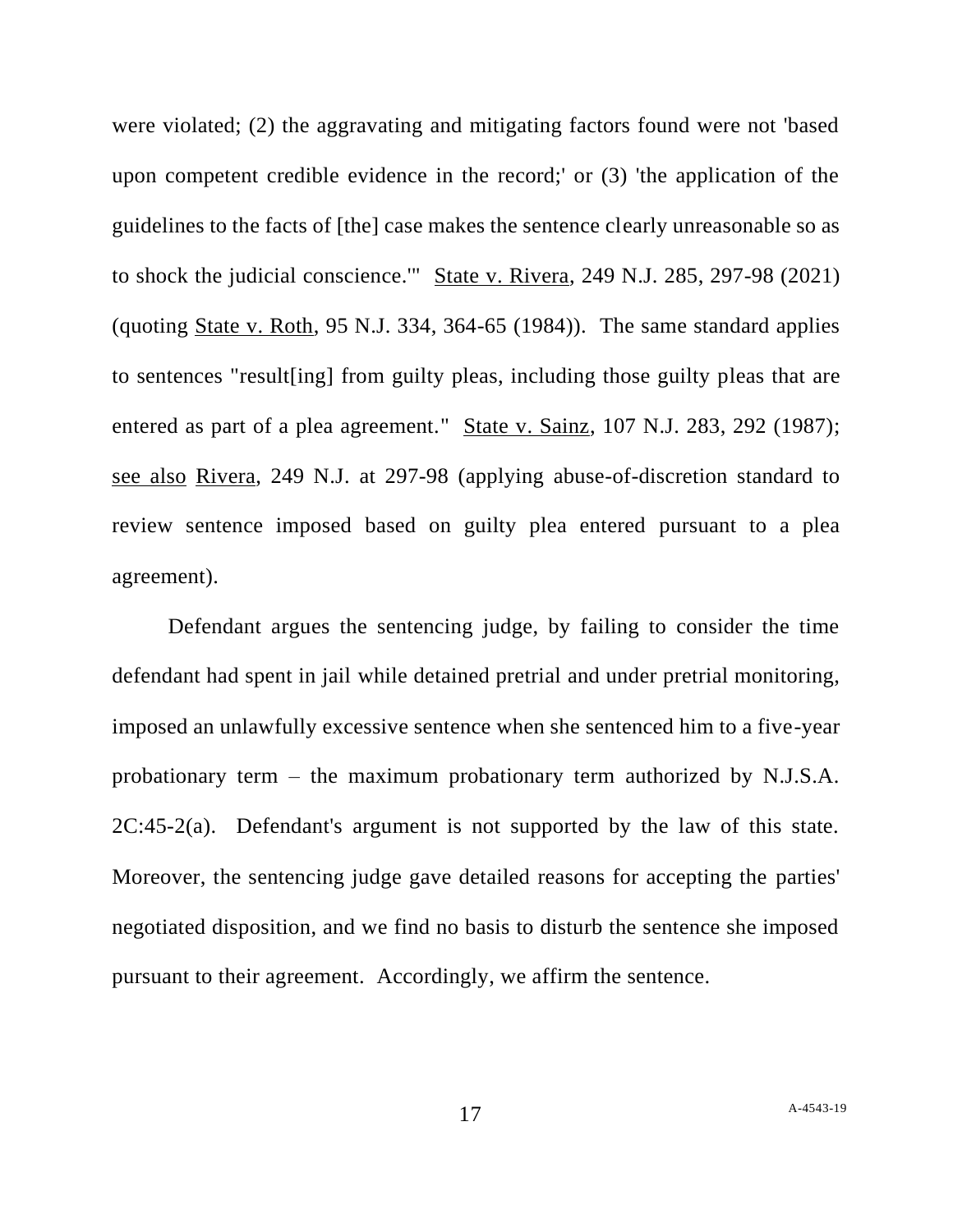were violated; (2) the aggravating and mitigating factors found were not 'based upon competent credible evidence in the record;' or (3) 'the application of the guidelines to the facts of [the] case makes the sentence clearly unreasonable so as to shock the judicial conscience.'" State v. Rivera, 249 N.J. 285, 297-98 (2021) (quoting State v. Roth, 95 N.J. 334, 364-65 (1984)). The same standard applies to sentences "result[ing] from guilty pleas, including those guilty pleas that are entered as part of a plea agreement." State v. Sainz, 107 N.J. 283, 292 (1987); see also Rivera, 249 N.J. at 297-98 (applying abuse-of-discretion standard to review sentence imposed based on guilty plea entered pursuant to a plea agreement).

Defendant argues the sentencing judge, by failing to consider the time defendant had spent in jail while detained pretrial and under pretrial monitoring, imposed an unlawfully excessive sentence when she sentenced him to a five-year probationary term – the maximum probationary term authorized by N.J.S.A.  $2C:45-2(a)$ . Defendant's argument is not supported by the law of this state. Moreover, the sentencing judge gave detailed reasons for accepting the parties' negotiated disposition, and we find no basis to disturb the sentence she imposed pursuant to their agreement. Accordingly, we affirm the sentence.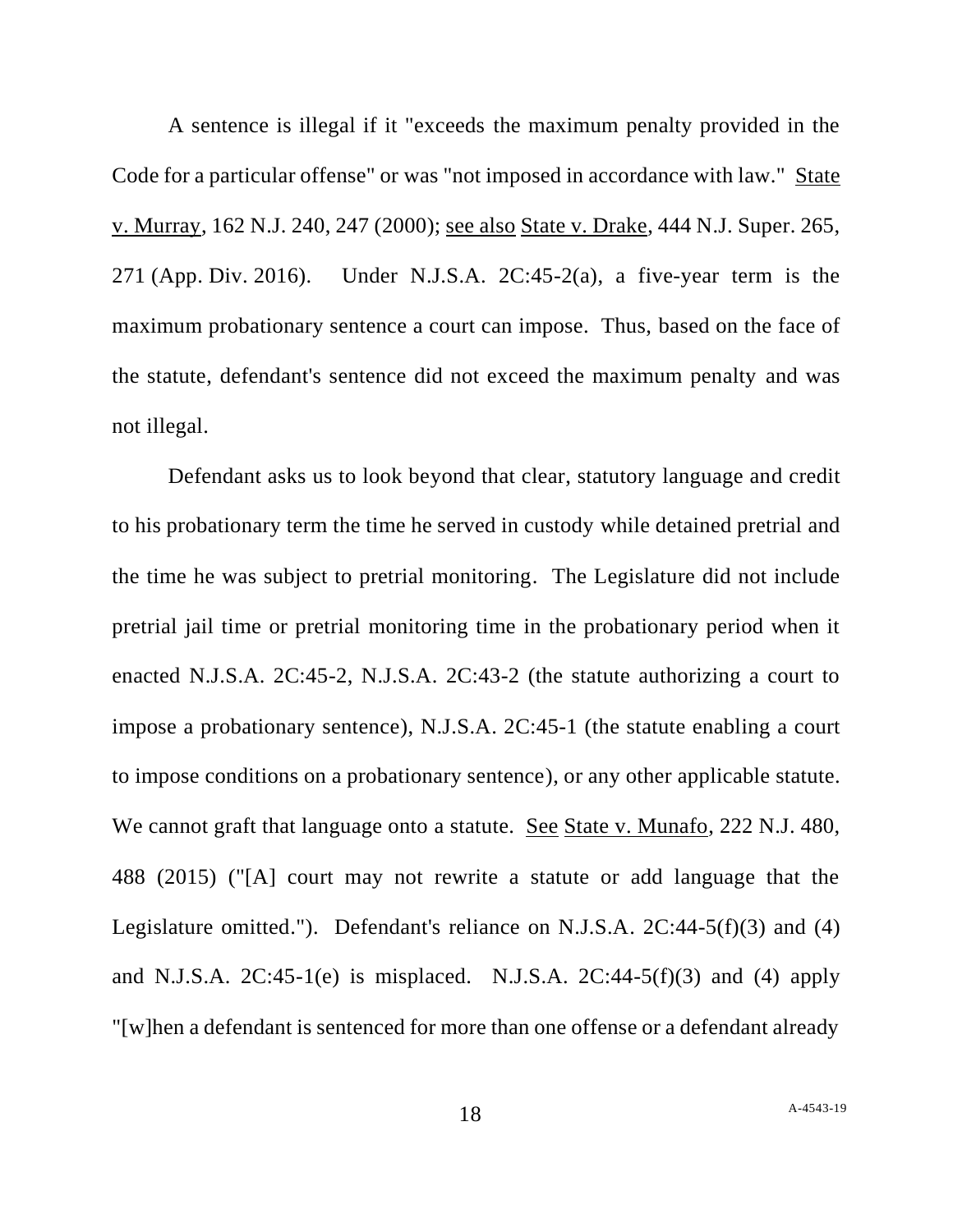A sentence is illegal if it "exceeds the maximum penalty provided in the Code for a particular offense" or was "not imposed in accordance with law." State v. Murray, 162 N.J. 240, 247 (2000); see also State v. Drake, 444 N.J. Super. 265, 271 (App. Div. 2016). Under N.J.S.A. 2C:45-2(a), a five-year term is the maximum probationary sentence a court can impose. Thus, based on the face of the statute, defendant's sentence did not exceed the maximum penalty and was not illegal.

Defendant asks us to look beyond that clear, statutory language and credit to his probationary term the time he served in custody while detained pretrial and the time he was subject to pretrial monitoring. The Legislature did not include pretrial jail time or pretrial monitoring time in the probationary period when it enacted N.J.S.A. 2C:45-2, N.J.S.A. 2C:43-2 (the statute authorizing a court to impose a probationary sentence), N.J.S.A. 2C:45-1 (the statute enabling a court to impose conditions on a probationary sentence), or any other applicable statute. We cannot graft that language onto a statute. See State v. Munafo, 222 N.J. 480, 488 (2015) ("[A] court may not rewrite a statute or add language that the Legislature omitted."). Defendant's reliance on N.J.S.A. 2C:44-5(f)(3) and (4) and N.J.S.A.  $2C:45-1(e)$  is misplaced. N.J.S.A.  $2C:44-5(f)(3)$  and (4) apply "[w]hen a defendant is sentenced for more than one offense or a defendant already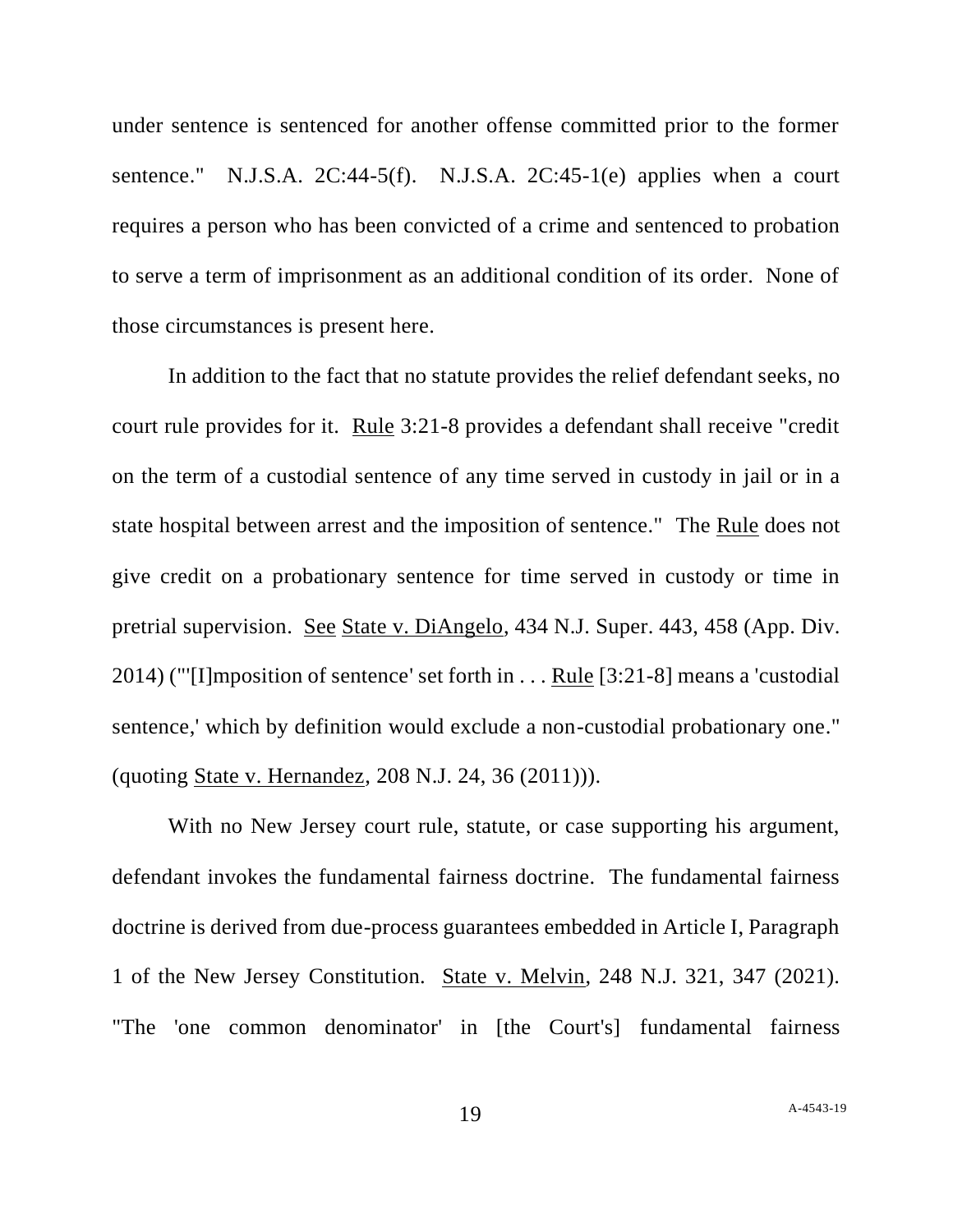under sentence is sentenced for another offense committed prior to the former sentence." N.J.S.A. 2C:44-5(f). N.J.S.A. 2C:45-1(e) applies when a court requires a person who has been convicted of a crime and sentenced to probation to serve a term of imprisonment as an additional condition of its order. None of those circumstances is present here.

In addition to the fact that no statute provides the relief defendant seeks, no court rule provides for it. Rule 3:21-8 provides a defendant shall receive "credit on the term of a custodial sentence of any time served in custody in jail or in a state hospital between arrest and the imposition of sentence." The Rule does not give credit on a probationary sentence for time served in custody or time in pretrial supervision. See State v. DiAngelo, 434 N.J. Super. 443, 458 (App. Div. 2014) ("'[I]mposition of sentence' set forth in . . . Rule [3:21-8] means a 'custodial sentence,' which by definition would exclude a non-custodial probationary one." (quoting State v. Hernandez, 208 N.J. 24, 36 (2011))).

With no New Jersey court rule, statute, or case supporting his argument, defendant invokes the fundamental fairness doctrine. The fundamental fairness doctrine is derived from due-process guarantees embedded in Article I, Paragraph 1 of the New Jersey Constitution. State v. Melvin, 248 N.J. 321, 347 (2021). "The 'one common denominator' in [the Court's] fundamental fairness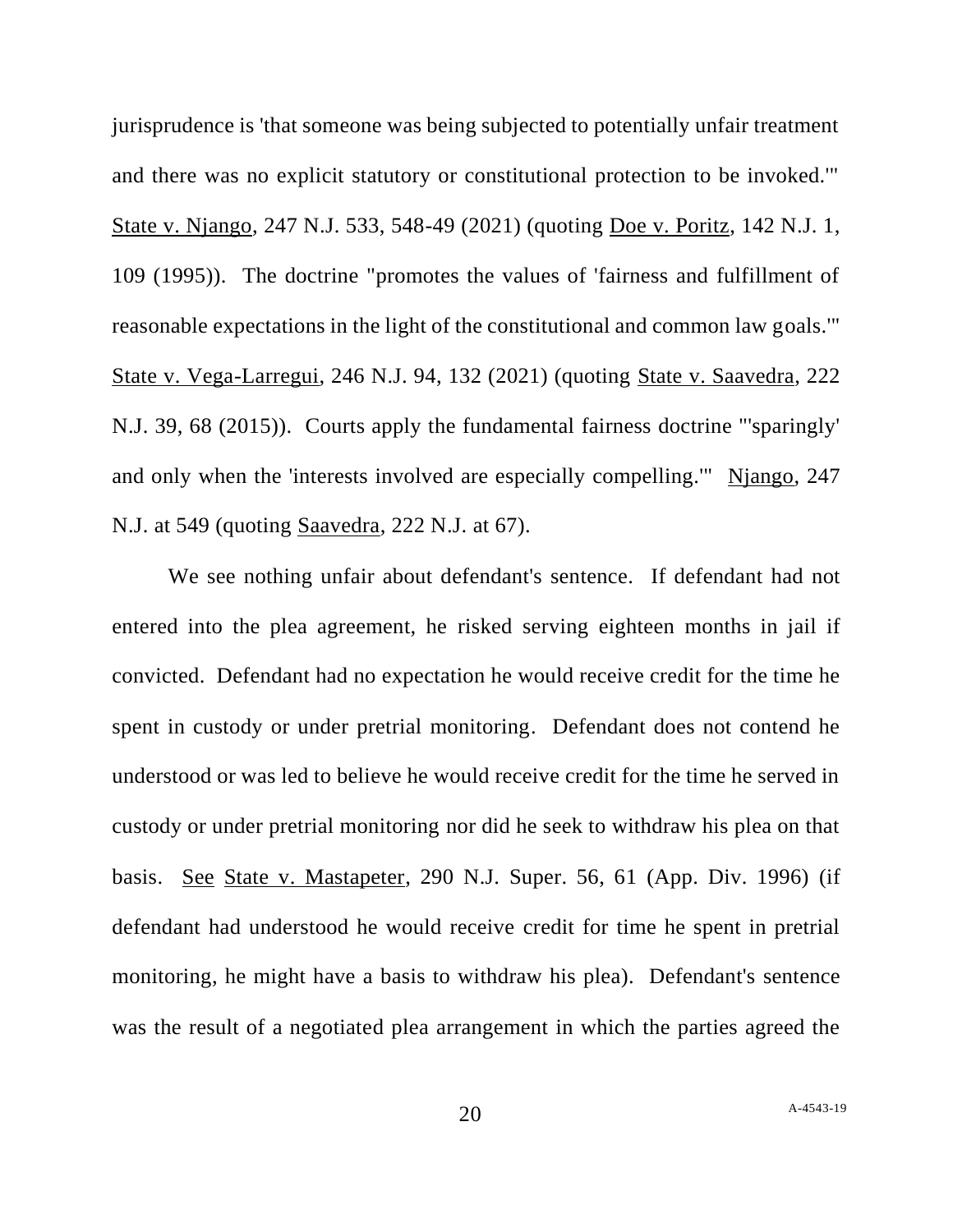jurisprudence is 'that someone was being subjected to potentially unfair treatment and there was no explicit statutory or constitutional protection to be invoked.'" State v. Njango, 247 N.J. 533, 548-49 (2021) (quoting Doe v. Poritz, 142 N.J. 1, 109 (1995)). The doctrine "promotes the values of 'fairness and fulfillment of reasonable expectations in the light of the constitutional and common law goals.'" State v. Vega-Larregui, 246 N.J. 94, 132 (2021) (quoting State v. Saavedra, 222 N.J. 39, 68 (2015)). Courts apply the fundamental fairness doctrine "'sparingly' and only when the 'interests involved are especially compelling.'" Njango, 247 N.J. at 549 (quoting Saavedra, 222 N.J. at 67).

We see nothing unfair about defendant's sentence. If defendant had not entered into the plea agreement, he risked serving eighteen months in jail if convicted. Defendant had no expectation he would receive credit for the time he spent in custody or under pretrial monitoring. Defendant does not contend he understood or was led to believe he would receive credit for the time he served in custody or under pretrial monitoring nor did he seek to withdraw his plea on that basis. See State v. Mastapeter, 290 N.J. Super. 56, 61 (App. Div. 1996) (if defendant had understood he would receive credit for time he spent in pretrial monitoring, he might have a basis to withdraw his plea). Defendant's sentence was the result of a negotiated plea arrangement in which the parties agreed the